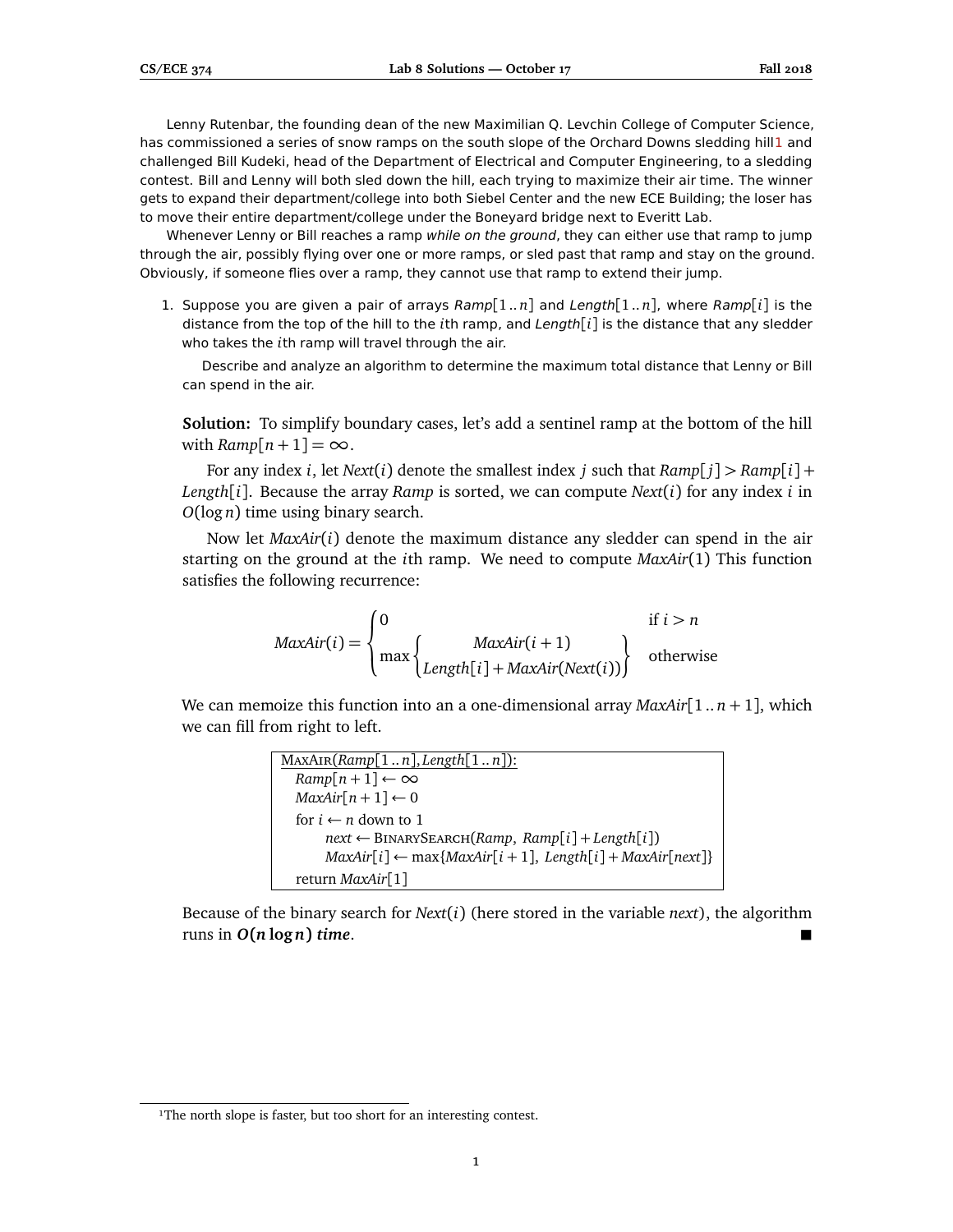Lenny Rutenbar, the founding dean of the new Maximilian Q. Levchin College of Computer Science, has commissioned a series of snow ramps on the south slope of the Orchard Downs sledding hil[l1](#page-0-0) and challenged Bill Kudeki, head of the Department of Electrical and Computer Engineering, to a sledding contest. Bill and Lenny will both sled down the hill, each trying to maximize their air time. The winner gets to expand their department/college into both Siebel Center and the new ECE Building; the loser has to move their entire department/college under the Boneyard bridge next to Everitt Lab.

Whenever Lenny or Bill reaches a ramp while on the ground, they can either use that ramp to jump through the air, possibly flying over one or more ramps, or sled past that ramp and stay on the ground. Obviously, if someone flies over a ramp, they cannot use that ramp to extend their jump.

1. Suppose you are given a pair of arrays Ramp[1 .. *n*] and Length[1 .. *n*], where Ramp[*i*] is the distance from the top of the hill to the *i*th ramp, and Length[*i*] is the distance that any sledder who takes the *i*th ramp will travel through the air.

Describe and analyze an algorithm to determine the maximum total distance that Lenny or Bill can spend in the air.

**Solution:** To simplify boundary cases, let's add a sentinel ramp at the bottom of the hill with  $Ramp[n+1] = \infty$ .

For any index *i*, let *Next*(*i*) denote the smallest index *j* such that  $Ramp[j] > Ramp[i] +$ *Length*[*i*]. Because the array *Ramp* is sorted, we can compute *Next*(*i*) for any index *i* in *O*(log *n*) time using binary search.

Now let *MaxAir*(*i*) denote the maximum distance any sledder can spend in the air starting on the ground at the *i*th ramp. We need to compute *MaxAir*(1) This function satisfies the following recurrence:

$$
MaxAir(i) = \begin{cases} 0 & \text{if } i > n \\ \max \begin{cases} \text{MaxAir}(i+1) \\ \text{Length}[i] + \text{MaxAir}(\text{Next}(i)) \end{cases} & \text{otherwise} \end{cases}
$$

We can memoize this function into an a one-dimensional array *MaxAir*[1 .. *n* + 1], which we can fill from right to left.

| $MaxAIR(Ramp[1n], Length[1n])$ :                                    |
|---------------------------------------------------------------------|
| $Ramp[n+1] \leftarrow \infty$                                       |
| $MaxAir[n+1] \leftarrow 0$                                          |
| for $i \leftarrow n$ down to 1                                      |
| $next \leftarrow \text{BINARYSEARCH}(Ramp, Ramp[i] + Length[i])$    |
| $MaxAir[i] \leftarrow max\{MaxAir[i+1], Length[i] + MaxAir[next]\}$ |
| return $MaxAir[1]$                                                  |

Because of the binary search for *Next*(*i*) (here stored in the variable *next*), the algorithm runs in  $O(n \log n)$  *time.* 

<span id="page-0-0"></span><sup>&</sup>lt;sup>1</sup>The north slope is faster, but too short for an interesting contest.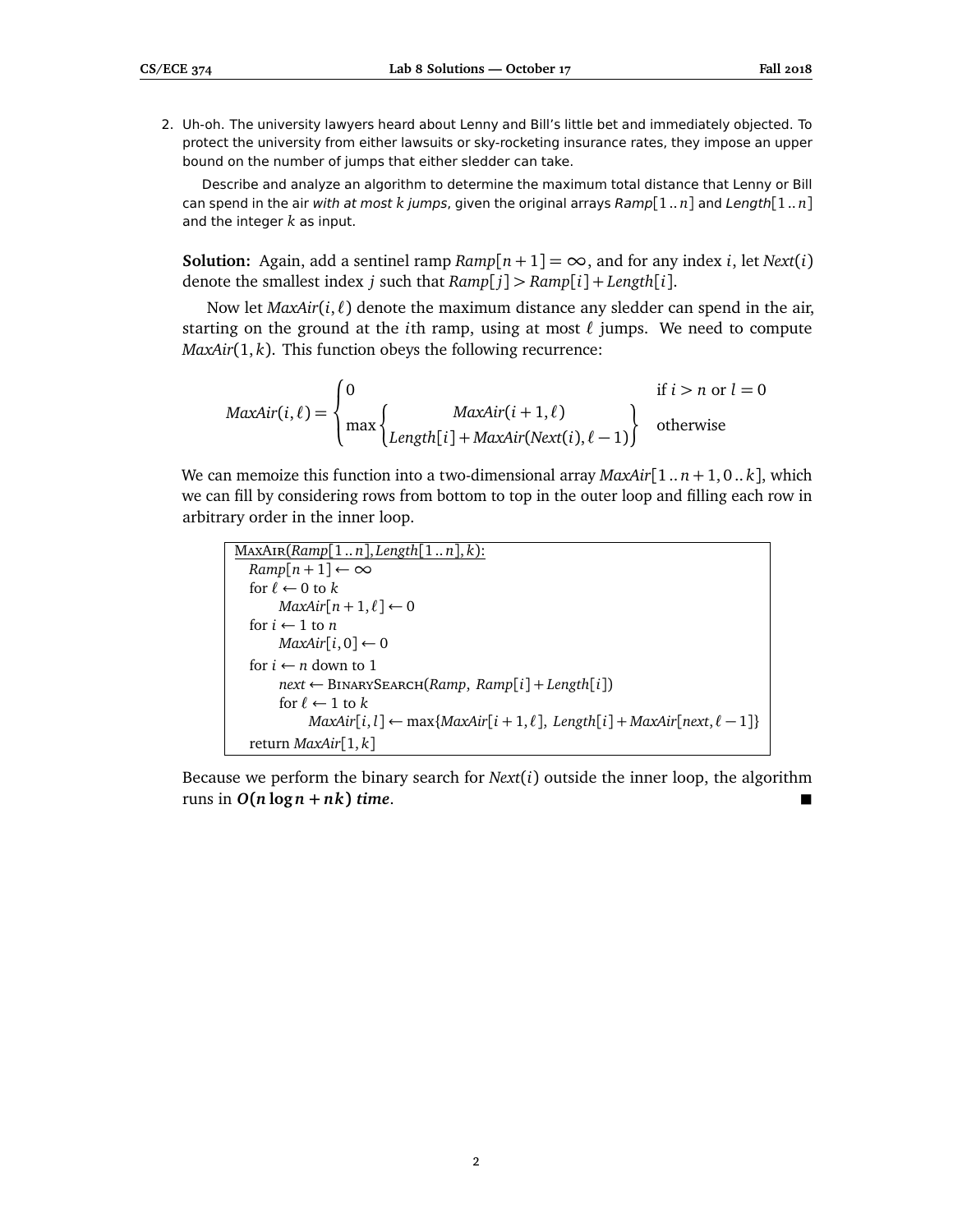2. Uh-oh. The university lawyers heard about Lenny and Bill's little bet and immediately objected. To protect the university from either lawsuits or sky-rocketing insurance rates, they impose an upper bound on the number of jumps that either sledder can take.

Describe and analyze an algorithm to determine the maximum total distance that Lenny or Bill can spend in the air with at most *k* jumps, given the original arrays Ramp[1.. *n*] and Length[1.. *n*] and the integer *k* as input.

**Solution:** Again, add a sentinel ramp  $Ramp[n+1] = \infty$ , and for any index *i*, let *Next*(*i*) denote the smallest index *j* such that *Ramp*[ *j*] *> Ramp*[*i*] + *Length*[*i*].

Now let  $MaxAir(i, \ell)$  denote the maximum distance any sledder can spend in the air, starting on the ground at the *i*th ramp, using at most  $\ell$  jumps. We need to compute *MaxAir*(1, *k*). This function obeys the following recurrence:

$$
MaxAir(i, \ell) = \begin{cases} 0 & \text{if } i > n \text{ or } l = 0\\ \max \begin{cases} MaxAir(i+1, \ell) \\ Length[i] + MaxAir(Next(i), \ell - 1) \end{cases} & \text{otherwise} \end{cases}
$$

We can memoize this function into a two-dimensional array  $MaxAir[1..n+1,0..k]$ , which we can fill by considering rows from bottom to top in the outer loop and filling each row in arbitrary order in the inner loop.

```
MaxAir(Ramp[1 .. n], Length[1 .. n], k):
Ramp[n+1] \leftarrow \inftyfor \ell \leftarrow 0 to kMaxAir[n+1,\ell] \leftarrow 0for i \leftarrow 1 to n
     MaxAir[i, 0] \leftarrow 0for i \leftarrow n down to 1
      next ← BinarySearch(Ramp, Ramp[i] + Length[i])
      for \ell \leftarrow 1 to kMaxAir[i, l] ← max{MaxAir[i + 1, l]}, Length[i] + MaxAir[next, l - 1]}
return MaxAir[1, k]
```
Because we perform the binary search for *Next*(*i*) outside the inner loop, the algorithm runs in  $O(n \log n + nk)$  *time.*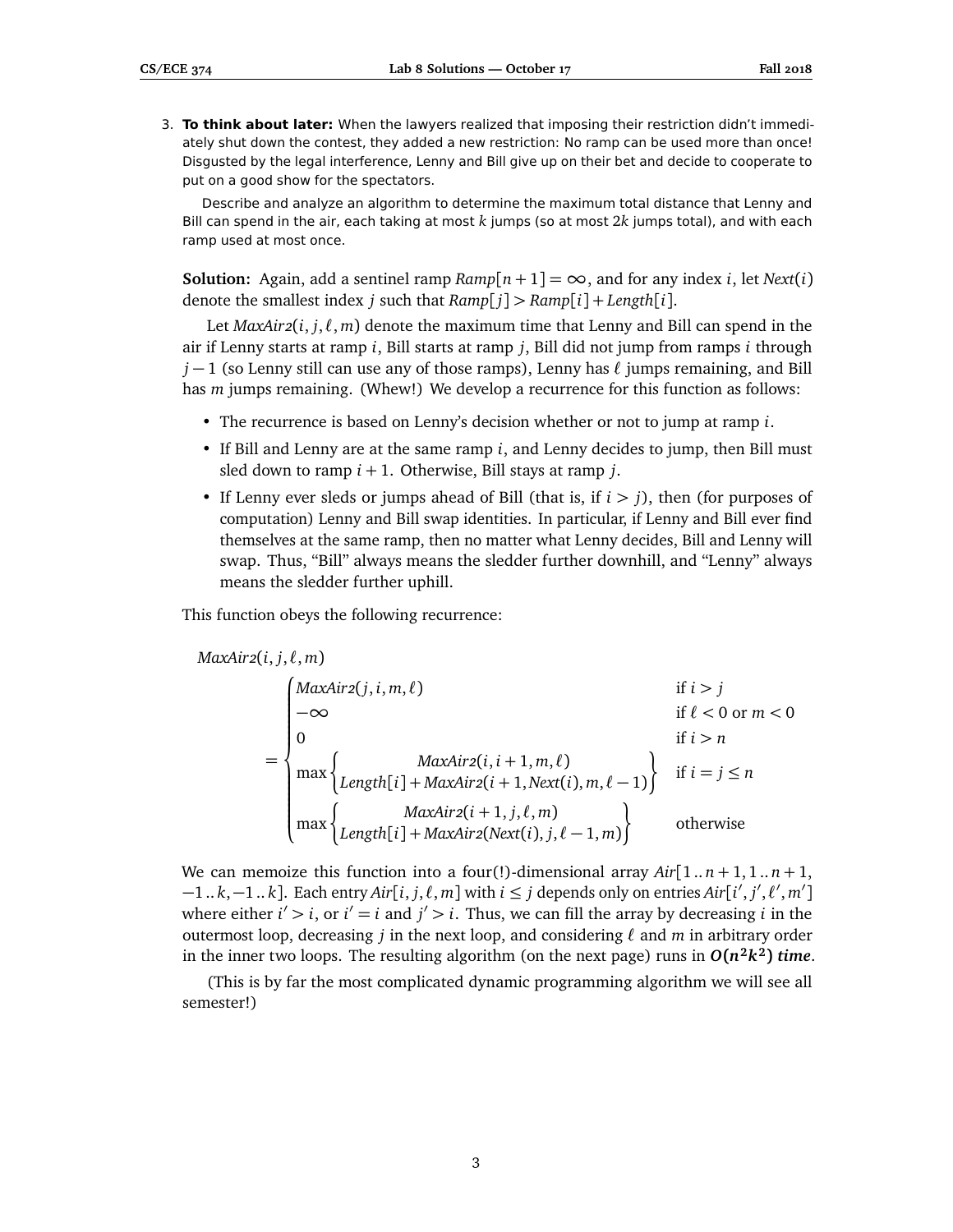3. **To think about later:** When the lawyers realized that imposing their restriction didn't immediately shut down the contest, they added a new restriction: No ramp can be used more than once! Disgusted by the legal interference, Lenny and Bill give up on their bet and decide to cooperate to put on a good show for the spectators.

Describe and analyze an algorithm to determine the maximum total distance that Lenny and Bill can spend in the air, each taking at most *k* jumps (so at most 2*k* jumps total), and with each ramp used at most once.

**Solution:** Again, add a sentinel ramp  $Ramp[n+1] = \infty$ , and for any index *i*, let *Next*(*i*) denote the smallest index *j* such that *Ramp*[ *j*] *> Ramp*[*i*] + *Length*[*i*].

Let  $MaxAir2(i, j, \ell, m)$  denote the maximum time that Lenny and Bill can spend in the air if Lenny starts at ramp *i*, Bill starts at ramp *j*, Bill did not jump from ramps *i* through *j* − 1 (so Lenny still can use any of those ramps), Lenny has  $\ell$  jumps remaining, and Bill has *m* jumps remaining. (Whew!) We develop a recurrence for this function as follows:

- The recurrence is based on Lenny's decision whether or not to jump at ramp *i*.
- If Bill and Lenny are at the same ramp *i*, and Lenny decides to jump, then Bill must sled down to ramp *i* + 1. Otherwise, Bill stays at ramp *j*.
- If Lenny ever sleds or jumps ahead of Bill (that is, if *i > j*), then (for purposes of computation) Lenny and Bill swap identities. In particular, if Lenny and Bill ever find themselves at the same ramp, then no matter what Lenny decides, Bill and Lenny will swap. Thus, "Bill" always means the sledder further downhill, and "Lenny" always means the sledder further uphill.

This function obeys the following recurrence:

$$
MaxAir2(i, j, \ell, m)
$$

$$
= \begin{cases} MaxAir2(j, i, m, \ell) & \text{if } i > j \\ -\infty & \text{if } \ell < 0 \text{ or } m < 0 \\ 0 & \text{if } i > n \end{cases}
$$
  
= 
$$
\begin{cases} MaxAir2(i, i + 1, m, \ell) \\ \max \left\{ Length[i] + MaxAir2(i + 1, Next(i), m, \ell - 1) \right\} & \text{if } i = j \le n \\ max \left\{ Length[i] + MaxAir2(i + 1, j, \ell, m) \right\} & \text{otherwise} \end{cases}
$$

We can memoize this function into a four(!)-dimensional array  $Air[1..n+1,1..n+1,$  $-1..k, -1..k$ ]. Each entry  $Air[i, j, \ell, m]$  with  $i ≤ j$  depends only on entries  $Air[i', j', \ell', m']$ where either  $i' > i$ , or  $i' = i$  and  $j' > i$ . Thus, we can fill the array by decreasing *i* in the outermost loop, decreasing *j* in the next loop, and considering  $\ell$  and *m* in arbitrary order in the inner two loops. The resulting algorithm (on the next page) runs in  $O(n^2k^2)$  time.

(This is by far the most complicated dynamic programming algorithm we will see all semester!)